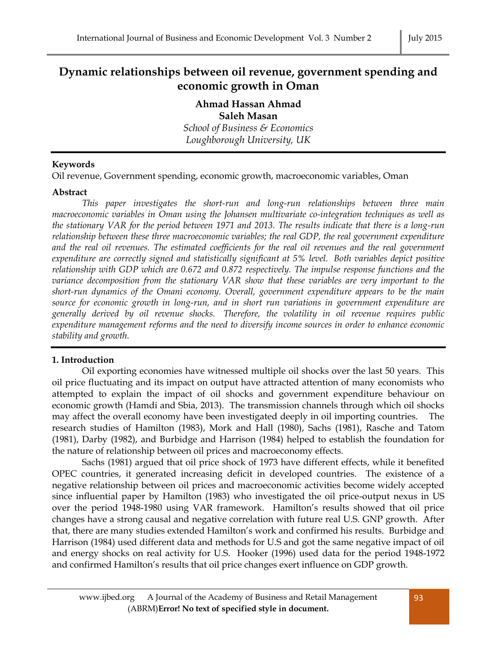# **Dynamic relationships between oil revenue, government spending and economic growth in Oman**

# **Ahmad Hassan Ahmad Saleh Masan**

*School of Business & Economics Loughborough University, UK*

# **Keywords**

Oil revenue, Government spending, economic growth, macroeconomic variables, Oman

### **Abstract**

*This paper investigates the short-run and long-run relationships between three main macroeconomic variables in Oman using the Johansen multivariate co-integration techniques as well as the stationary VAR for the period between 1971 and 2013. The results indicate that there is a long-run relationship between these three macroeconomic variables; the real GDP, the real government expenditure and the real oil revenues. The estimated coefficients for the real oil revenues and the real government expenditure are correctly signed and statistically significant at 5% level. Both variables depict positive relationship with GDP which are 0.672 and 0.872 respectively. The impulse response functions and the variance decomposition from the stationary VAR show that these variables are very important to the short-run dynamics of the Omani economy. Overall, government expenditure appears to be the main source for economic growth in long-run, and in short run variations in government expenditure are generally derived by oil revenue shocks. Therefore, the volatility in oil revenue requires public expenditure management reforms and the need to diversify income sources in order to enhance economic stability and growth.*

# **1. Introduction**

Oil exporting economies have witnessed multiple oil shocks over the last 50 years. This oil price fluctuating and its impact on output have attracted attention of many economists who attempted to explain the impact of oil shocks and government expenditure behaviour on economic growth (Hamdi and Sbia, 2013). The transmission channels through which oil shocks may affect the overall economy have been investigated deeply in oil importing countries. The research studies of Hamilton (1983), Mork and Hall (1980), Sachs (1981), Rasche and Tatom (1981), Darby (1982), and Burbidge and Harrison (1984) helped to establish the foundation for the nature of relationship between oil prices and macroeconomy effects.

Sachs (1981) argued that oil price shock of 1973 have different effects, while it benefited OPEC countries, it generated increasing deficit in developed countries. The existence of a negative relationship between oil prices and macroeconomic activities become widely accepted since influential paper by Hamilton (1983) who investigated the oil price-output nexus in US over the period 1948-1980 using VAR framework. Hamilton's results showed that oil price changes have a strong causal and negative correlation with future real U.S. GNP growth. After that, there are many studies extended Hamilton's work and confirmed his results. Burbidge and Harrison (1984) used different data and methods for U.S and got the same negative impact of oil and energy shocks on real activity for U.S. Hooker (1996) used data for the period 1948-1972 and confirmed Hamilton's results that oil price changes exert influence on GDP growth.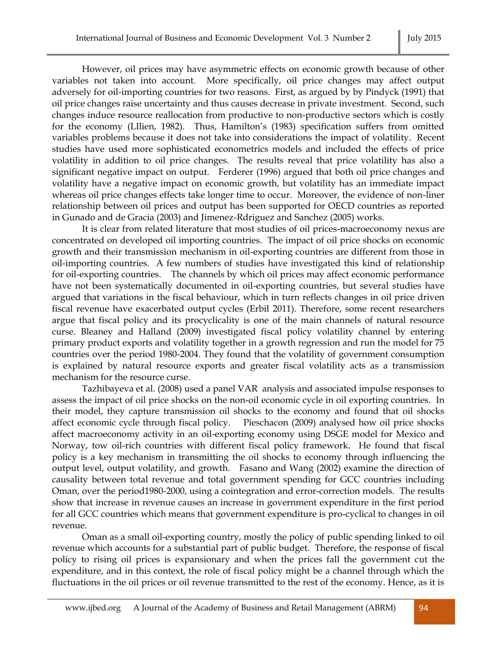However, oil prices may have asymmetric effects on economic growth because of other variables not taken into account. More specifically, oil price changes may affect output adversely for oil-importing countries for two reasons. First, as argued by by Pindyck (1991) that oil price changes raise uncertainty and thus causes decrease in private investment. Second, such changes induce resource reallocation from productive to non-productive sectors which is costly for the economy (LIlien, 1982). Thus, Hamilton's (1983) specification suffers from omitted variables problems because it does not take into considerations the impact of volatility. Recent studies have used more sophisticated econometrics models and included the effects of price volatility in addition to oil price changes. The results reveal that price volatility has also a significant negative impact on output. Ferderer (1996) argued that both oil price changes and volatility have a negative impact on economic growth, but volatility has an immediate impact whereas oil price changes effects take longer time to occur. Moreover, the evidence of non-liner relationship between oil prices and output has been supported for OECD countries as reported in Gunado and de Gracia (2003) and Jimenez-Rdriguez and Sanchez (2005) works.

It is clear from related literature that most studies of oil prices-macroeconomy nexus are concentrated on developed oil importing countries. The impact of oil price shocks on economic growth and their transmission mechanism in oil-exporting countries are different from those in oil-importing countries. A few numbers of studies have investigated this kind of relationship for oil-exporting countries. The channels by which oil prices may affect economic performance have not been systematically documented in oil-exporting countries, but several studies have argued that variations in the fiscal behaviour, which in turn reflects changes in oil price driven fiscal revenue have exacerbated output cycles (Erbil 2011). Therefore, some recent researchers argue that fiscal policy and its procyclicality is one of the main channels of natural resource curse. Bleaney and Halland (2009) investigated fiscal policy volatility channel by entering primary product exports and volatility together in a growth regression and run the model for 75 countries over the period 1980-2004. They found that the volatility of government consumption is explained by natural resource exports and greater fiscal volatility acts as a transmission mechanism for the resource curse.

Tazhibayeva et al. (2008) used a panel VAR analysis and associated impulse responses to assess the impact of oil price shocks on the non-oil economic cycle in oil exporting countries. In their model, they capture transmission oil shocks to the economy and found that oil shocks affect economic cycle through fiscal policy. Pieschacon (2009) analysed how oil price shocks affect macroeconomy activity in an oil-exporting economy using DSGE model for Mexico and Norway, tow oil-rich countries with different fiscal policy framework. He found that fiscal policy is a key mechanism in transmitting the oil shocks to economy through influencing the output level, output volatility, and growth. Fasano and Wang (2002) examine the direction of causality between total revenue and total government spending for GCC countries including Oman, over the period1980-2000, using a cointegration and error-correction models. The results show that increase in revenue causes an increase in government expenditure in the first period for all GCC countries which means that government expenditure is pro-cyclical to changes in oil revenue.

Oman as a small oil-exporting country, mostly the policy of public spending linked to oil revenue which accounts for a substantial part of public budget. Therefore, the response of fiscal policy to rising oil prices is expansionary and when the prices fall the government cut the expenditure, and in this context, the role of fiscal policy might be a channel through which the fluctuations in the oil prices or oil revenue transmitted to the rest of the economy. Hence, as it is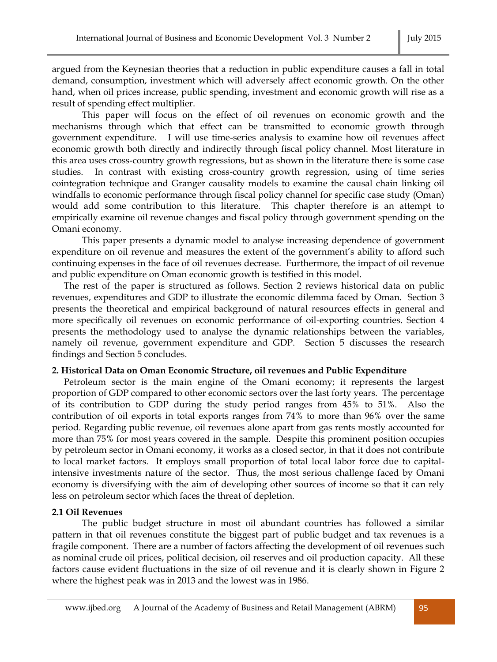argued from the Keynesian theories that a reduction in public expenditure causes a fall in total demand, consumption, investment which will adversely affect economic growth. On the other hand, when oil prices increase, public spending, investment and economic growth will rise as a result of spending effect multiplier.

This paper will focus on the effect of oil revenues on economic growth and the mechanisms through which that effect can be transmitted to economic growth through government expenditure. I will use time-series analysis to examine how oil revenues affect economic growth both directly and indirectly through fiscal policy channel. Most literature in this area uses cross-country growth regressions, but as shown in the literature there is some case studies. In contrast with existing cross-country growth regression, using of time series cointegration technique and Granger causality models to examine the causal chain linking oil windfalls to economic performance through fiscal policy channel for specific case study (Oman) would add some contribution to this literature. This chapter therefore is an attempt to empirically examine oil revenue changes and fiscal policy through government spending on the Omani economy.

This paper presents a dynamic model to analyse increasing dependence of government expenditure on oil revenue and measures the extent of the government's ability to afford such continuing expenses in the face of oil revenues decrease. Furthermore, the impact of oil revenue and public expenditure on Oman economic growth is testified in this model.

The rest of the paper is structured as follows. Section 2 reviews historical data on public revenues, expenditures and GDP to illustrate the economic dilemma faced by Oman. Section 3 presents the theoretical and empirical background of natural resources effects in general and more specifically oil revenues on economic performance of oil-exporting countries. Section 4 presents the methodology used to analyse the dynamic relationships between the variables, namely oil revenue, government expenditure and GDP. Section 5 discusses the research findings and Section 5 concludes.

### **2. Historical Data on Oman Economic Structure, oil revenues and Public Expenditure**

Petroleum sector is the main engine of the Omani economy; it represents the largest proportion of GDP compared to other economic sectors over the last forty years. The percentage of its contribution to GDP during the study period ranges from 45% to 51%. Also the contribution of oil exports in total exports ranges from 74% to more than 96% over the same period. Regarding public revenue, oil revenues alone apart from gas rents mostly accounted for more than 75% for most years covered in the sample. Despite this prominent position occupies by petroleum sector in Omani economy, it works as a closed sector, in that it does not contribute to local market factors. It employs small proportion of total local labor force due to capitalintensive investments nature of the sector. Thus, the most serious challenge faced by Omani economy is diversifying with the aim of developing other sources of income so that it can rely less on petroleum sector which faces the threat of depletion.

### **2.1 Oil Revenues**

The public budget structure in most oil abundant countries has followed a similar pattern in that oil revenues constitute the biggest part of public budget and tax revenues is a fragile component. There are a number of factors affecting the development of oil revenues such as nominal crude oil prices, political decision, oil reserves and oil production capacity. All these factors cause evident fluctuations in the size of oil revenue and it is clearly shown in Figure 2 where the highest peak was in 2013 and the lowest was in 1986.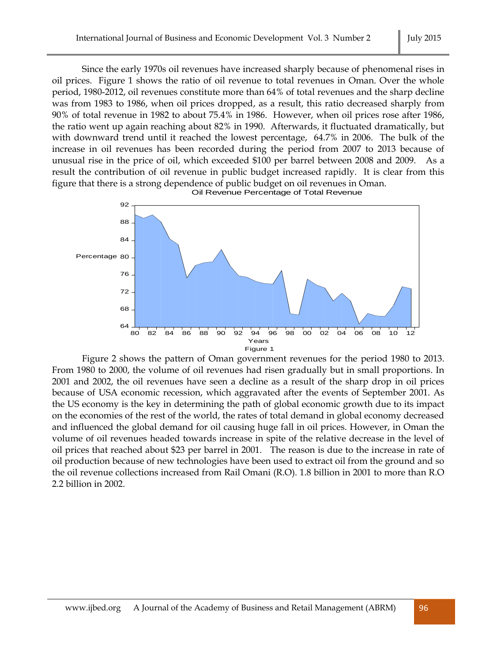Since the early 1970s oil revenues have increased sharply because of phenomenal rises in oil prices. Figure 1 shows the ratio of oil revenue to total revenues in Oman. Over the whole period, 1980-2012, oil revenues constitute more than 64% of total revenues and the sharp decline was from 1983 to 1986, when oil prices dropped, as a result, this ratio decreased sharply from 90% of total revenue in 1982 to about 75.4% in 1986. However, when oil prices rose after 1986, the ratio went up again reaching about 82% in 1990. Afterwards, it fluctuated dramatically, but with downward trend until it reached the lowest percentage, 64.7% in 2006. The bulk of the increase in oil revenues has been recorded during the period from 2007 to 2013 because of unusual rise in the price of oil, which exceeded \$100 per barrel between 2008 and 2009. As a result the contribution of oil revenue in public budget increased rapidly. It is clear from this figure that there is a strong dependence of public budget on oil revenues in Oman.



Figure 2 shows the pattern of Oman government revenues for the period 1980 to 2013. From 1980 to 2000, the volume of oil revenues had risen gradually but in small proportions. In 2001 and 2002, the oil revenues have seen a decline as a result of the sharp drop in oil prices because of USA economic recession, which aggravated after the events of September 2001. As the US economy is the key in determining the path of global economic growth due to its impact on the economies of the rest of the world, the rates of total demand in global economy decreased and influenced the global demand for oil causing huge fall in oil prices. However, in Oman the volume of oil revenues headed towards increase in spite of the relative decrease in the level of oil prices that reached about \$23 per barrel in 2001. The reason is due to the increase in rate of oil production because of new technologies have been used to extract oil from the ground and so the oil revenue collections increased from Rail Omani (R.O). 1.8 billion in 2001 to more than R.O 2.2 billion in 2002.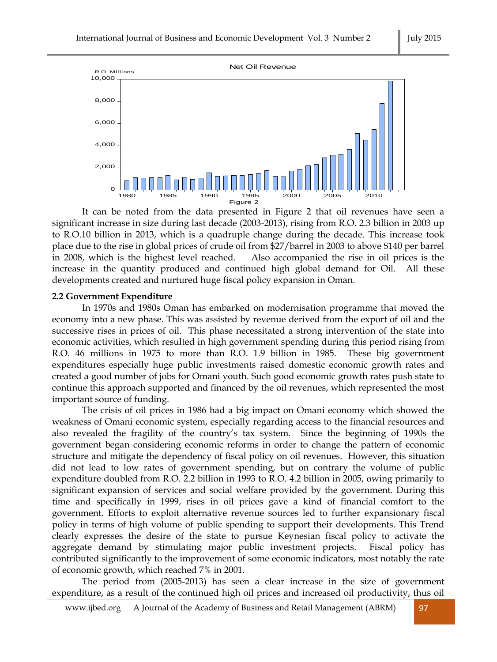

It can be noted from the data presented in Figure 2 that oil revenues have seen a significant increase in size during last decade (2003-2013), rising from R.O. 2.3 billion in 2003 up to R.O.10 billion in 2013, which is a quadruple change during the decade. This increase took place due to the rise in global prices of crude oil from \$27/barrel in 2003 to above \$140 per barrel in 2008, which is the highest level reached. Also accompanied the rise in oil prices is the increase in the quantity produced and continued high global demand for Oil. All these developments created and nurtured huge fiscal policy expansion in Oman.

Figure 2

#### **2.2 Government Expenditure**

In 1970s and 1980s Oman has embarked on modernisation programme that moved the economy into a new phase. This was assisted by revenue derived from the export of oil and the successive rises in prices of oil. This phase necessitated a strong intervention of the state into economic activities, which resulted in high government spending during this period rising from R.O. 46 millions in 1975 to more than R.O. 1.9 billion in 1985. These big government expenditures especially huge public investments raised domestic economic growth rates and created a good number of jobs for Omani youth. Such good economic growth rates push state to continue this approach supported and financed by the oil revenues, which represented the most important source of funding.

The crisis of oil prices in 1986 had a big impact on Omani economy which showed the weakness of Omani economic system, especially regarding access to the financial resources and also revealed the fragility of the country's tax system. Since the beginning of 1990s the government began considering economic reforms in order to change the pattern of economic structure and mitigate the dependency of fiscal policy on oil revenues. However, this situation did not lead to low rates of government spending, but on contrary the volume of public expenditure doubled from R.O. 2.2 billion in 1993 to R.O. 4.2 billion in 2005, owing primarily to significant expansion of services and social welfare provided by the government. During this time and specifically in 1999, rises in oil prices gave a kind of financial comfort to the government. Efforts to exploit alternative revenue sources led to further expansionary fiscal policy in terms of high volume of public spending to support their developments. This Trend clearly expresses the desire of the state to pursue Keynesian fiscal policy to activate the aggregate demand by stimulating major public investment projects. Fiscal policy has contributed significantly to the improvement of some economic indicators, most notably the rate of economic growth, which reached 7% in 2001.

The period from (2005-2013) has seen a clear increase in the size of government expenditure, as a result of the continued high oil prices and increased oil productivity, thus oil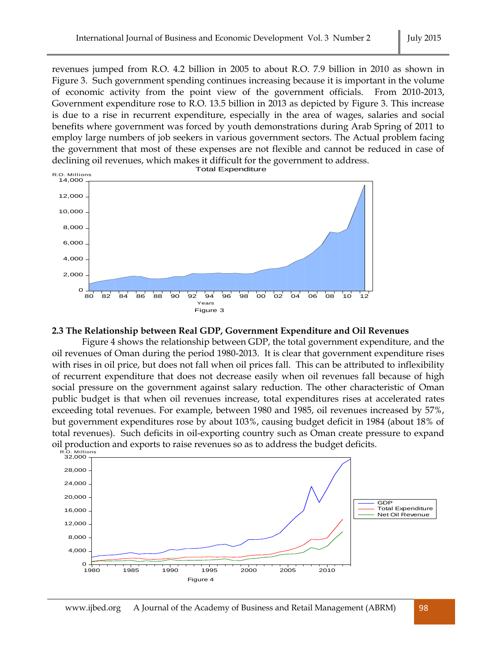revenues jumped from R.O. 4.2 billion in 2005 to about R.O. 7.9 billion in 2010 as shown in Figure 3. Such government spending continues increasing because it is important in the volume of economic activity from the point view of the government officials. From 2010-2013, Government expenditure rose to R.O. 13.5 billion in 2013 as depicted by Figure 3. This increase is due to a rise in recurrent expenditure, especially in the area of wages, salaries and social benefits where government was forced by youth demonstrations during Arab Spring of 2011 to employ large numbers of job seekers in various government sectors. The Actual problem facing the government that most of these expenses are not flexible and cannot be reduced in case of declining oil revenues, which makes it difficult for the government to address.



### **2.3 The Relationship between Real GDP, Government Expenditure and Oil Revenues**

Figure 4 shows the relationship between GDP, the total government expenditure, and the oil revenues of Oman during the period 1980-2013. It is clear that government expenditure rises with rises in oil price, but does not fall when oil prices fall. This can be attributed to inflexibility of recurrent expenditure that does not decrease easily when oil revenues fall because of high social pressure on the government against salary reduction. The other characteristic of Oman public budget is that when oil revenues increase, total expenditures rises at accelerated rates exceeding total revenues. For example, between 1980 and 1985, oil revenues increased by 57%, but government expenditures rose by about 103%, causing budget deficit in 1984 (about 18% of total revenues). Such deficits in oil-exporting country such as Oman create pressure to expand oil production and exports to raise revenues so as to address the budget deficits.

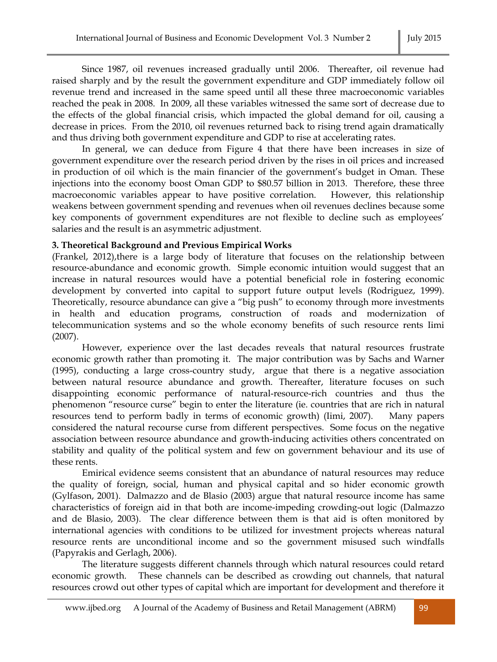Since 1987, oil revenues increased gradually until 2006. Thereafter, oil revenue had raised sharply and by the result the government expenditure and GDP immediately follow oil revenue trend and increased in the same speed until all these three macroeconomic variables reached the peak in 2008. In 2009, all these variables witnessed the same sort of decrease due to the effects of the global financial crisis, which impacted the global demand for oil, causing a decrease in prices. From the 2010, oil revenues returned back to rising trend again dramatically and thus driving both government expenditure and GDP to rise at accelerating rates.

In general, we can deduce from Figure 4 that there have been increases in size of government expenditure over the research period driven by the rises in oil prices and increased in production of oil which is the main financier of the government's budget in Oman. These injections into the economy boost Oman GDP to \$80.57 billion in 2013. Therefore, these three macroeconomic variables appear to have positive correlation. However, this relationship weakens between government spending and revenues when oil revenues declines because some key components of government expenditures are not flexible to decline such as employees' salaries and the result is an asymmetric adjustment.

### **3. Theoretical Background and Previous Empirical Works**

(Frankel, 2012),there is a large body of literature that focuses on the relationship between resource-abundance and economic growth. Simple economic intuition would suggest that an increase in natural resources would have a potential beneficial role in fostering economic development by converted into capital to support future output levels (Rodriguez, 1999). Theoretically, resource abundance can give a "big push" to economy through more investments in health and education programs, construction of roads and modernization of telecommunication systems and so the whole economy benefits of such resource rents Iimi (2007).

However, experience over the last decades reveals that natural resources frustrate economic growth rather than promoting it. The major contribution was by Sachs and Warner (1995), conducting a large cross-country study, argue that there is a negative association between natural resource abundance and growth. Thereafter, literature focuses on such disappointing economic performance of natural-resource-rich countries and thus the phenomenon "resource curse" begin to enter the literature (ie. countries that are rich in natural resources tend to perform badly in terms of economic growth) (Iimi, 2007). Many papers considered the natural recourse curse from different perspectives. Some focus on the negative association between resource abundance and growth-inducing activities others concentrated on stability and quality of the political system and few on government behaviour and its use of these rents.

Emirical evidence seems consistent that an abundance of natural resources may reduce the quality of foreign, social, human and physical capital and so hider economic growth (Gylfason, 2001). Dalmazzo and de Blasio (2003) argue that natural resource income has same characteristics of foreign aid in that both are income-impeding crowding-out logic (Dalmazzo and de Blasio, 2003). The clear difference between them is that aid is often monitored by international agencies with conditions to be utilized for investment projects whereas natural resource rents are unconditional income and so the government misused such windfalls (Papyrakis and Gerlagh, 2006).

The literature suggests different channels through which natural resources could retard economic growth. These channels can be described as crowding out channels, that natural resources crowd out other types of capital which are important for development and therefore it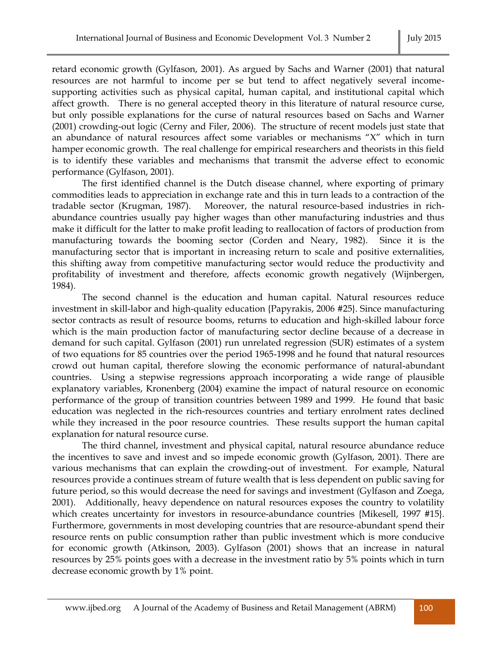retard economic growth (Gylfason, 2001). As argued by Sachs and Warner (2001) that natural resources are not harmful to income per se but tend to affect negatively several incomesupporting activities such as physical capital, human capital, and institutional capital which affect growth. There is no general accepted theory in this literature of natural resource curse, but only possible explanations for the curse of natural resources based on Sachs and Warner (2001) crowding-out logic (Cerny and Filer, 2006). The structure of recent models just state that an abundance of natural resources affect some variables or mechanisms "X" which in turn hamper economic growth. The real challenge for empirical researchers and theorists in this field is to identify these variables and mechanisms that transmit the adverse effect to economic performance (Gylfason, 2001).

The first identified channel is the Dutch disease channel, where exporting of primary commodities leads to appreciation in exchange rate and this in turn leads to a contraction of the tradable sector (Krugman, 1987). Moreover, the natural resource-based industries in richabundance countries usually pay higher wages than other manufacturing industries and thus make it difficult for the latter to make profit leading to reallocation of factors of production from manufacturing towards the booming sector (Corden and Neary, 1982). Since it is the manufacturing sector that is important in increasing return to scale and positive externalities, this shifting away from competitive manufacturing sector would reduce the productivity and profitability of investment and therefore, affects economic growth negatively (Wijnbergen, 1984).

The second channel is the education and human capital. Natural resources reduce investment in skill-labor and high-quality education {Papyrakis, 2006 #25}. Since manufacturing sector contracts as result of resource booms, returns to education and high-skilled labour force which is the main production factor of manufacturing sector decline because of a decrease in demand for such capital. Gylfason (2001) run unrelated regression (SUR) estimates of a system of two equations for 85 countries over the period 1965-1998 and he found that natural resources crowd out human capital, therefore slowing the economic performance of natural-abundant countries. Using a stepwise regressions approach incorporating a wide range of plausible explanatory variables, Kronenberg (2004) examine the impact of natural resource on economic performance of the group of transition countries between 1989 and 1999. He found that basic education was neglected in the rich-resources countries and tertiary enrolment rates declined while they increased in the poor resource countries. These results support the human capital explanation for natural resource curse.

The third channel, investment and physical capital, natural resource abundance reduce the incentives to save and invest and so impede economic growth (Gylfason, 2001). There are various mechanisms that can explain the crowding-out of investment. For example, Natural resources provide a continues stream of future wealth that is less dependent on public saving for future period, so this would decrease the need for savings and investment (Gylfason and Zoega, 2001). Additionally, heavy dependence on natural resources exposes the country to volatility which creates uncertainty for investors in resource-abundance countries {Mikesell, 1997 #15}. Furthermore, governments in most developing countries that are resource-abundant spend their resource rents on public consumption rather than public investment which is more conducive for economic growth (Atkinson, 2003). Gylfason (2001) shows that an increase in natural resources by 25% points goes with a decrease in the investment ratio by 5% points which in turn decrease economic growth by 1% point.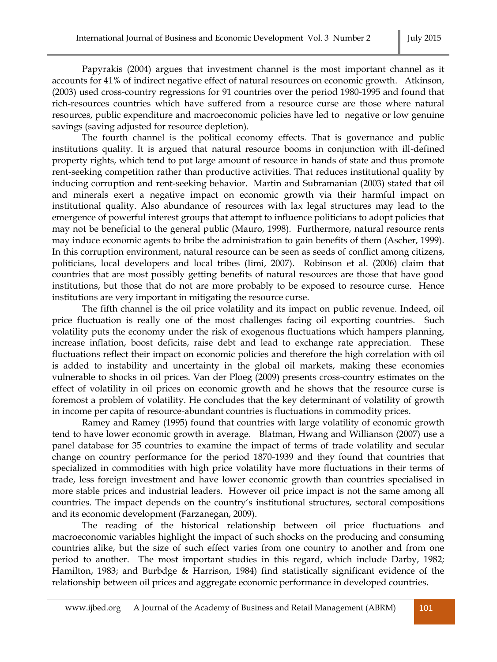Papyrakis (2004) argues that investment channel is the most important channel as it accounts for 41% of indirect negative effect of natural resources on economic growth. Atkinson, (2003) used cross-country regressions for 91 countries over the period 1980-1995 and found that rich-resources countries which have suffered from a resource curse are those where natural resources, public expenditure and macroeconomic policies have led to negative or low genuine savings (saving adjusted for resource depletion).

The fourth channel is the political economy effects. That is governance and public institutions quality. It is argued that natural resource booms in conjunction with ill-defined property rights, which tend to put large amount of resource in hands of state and thus promote rent-seeking competition rather than productive activities. That reduces institutional quality by inducing corruption and rent-seeking behavior. Martin and Subramanian (2003) stated that oil and minerals exert a negative impact on economic growth via their harmful impact on institutional quality. Also abundance of resources with lax legal structures may lead to the emergence of powerful interest groups that attempt to influence politicians to adopt policies that may not be beneficial to the general public (Mauro, 1998). Furthermore, natural resource rents may induce economic agents to bribe the administration to gain benefits of them (Ascher, 1999). In this corruption environment, natural resource can be seen as seeds of conflict among citizens, politicians, local developers and local tribes (Iimi, 2007). Robinson et al. (2006) claim that countries that are most possibly getting benefits of natural resources are those that have good institutions, but those that do not are more probably to be exposed to resource curse. Hence institutions are very important in mitigating the resource curse.

The fifth channel is the oil price volatility and its impact on public revenue. Indeed, oil price fluctuation is really one of the most challenges facing oil exporting countries. Such volatility puts the economy under the risk of exogenous fluctuations which hampers planning, increase inflation, boost deficits, raise debt and lead to exchange rate appreciation. These fluctuations reflect their impact on economic policies and therefore the high correlation with oil is added to instability and uncertainty in the global oil markets, making these economies vulnerable to shocks in oil prices. Van der Ploeg (2009) presents cross-country estimates on the effect of volatility in oil prices on economic growth and he shows that the resource curse is foremost a problem of volatility. He concludes that the key determinant of volatility of growth in income per capita of resource-abundant countries is fluctuations in commodity prices.

Ramey and Ramey (1995) found that countries with large volatility of economic growth tend to have lower economic growth in average. Blatman, Hwang and Willianson (2007) use a panel database for 35 countries to examine the impact of terms of trade volatility and secular change on country performance for the period 1870-1939 and they found that countries that specialized in commodities with high price volatility have more fluctuations in their terms of trade, less foreign investment and have lower economic growth than countries specialised in more stable prices and industrial leaders. However oil price impact is not the same among all countries. The impact depends on the country's institutional structures, sectoral compositions and its economic development (Farzanegan, 2009).

The reading of the historical relationship between oil price fluctuations and macroeconomic variables highlight the impact of such shocks on the producing and consuming countries alike, but the size of such effect varies from one country to another and from one period to another. The most important studies in this regard, which include Darby, 1982; Hamilton, 1983; and Burbdge & Harrison, 1984) find statistically significant evidence of the relationship between oil prices and aggregate economic performance in developed countries.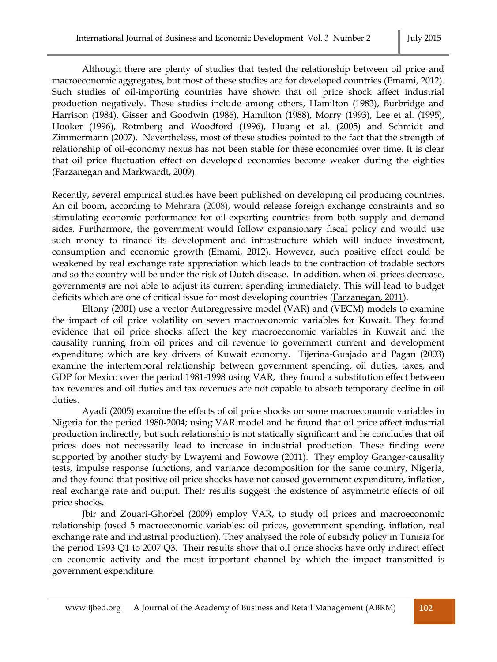Although there are plenty of studies that tested the relationship between oil price and macroeconomic aggregates, but most of these studies are for developed countries (Emami, 2012). Such studies of oil-importing countries have shown that oil price shock affect industrial production negatively. These studies include among others, Hamilton (1983), Burbridge and Harrison (1984), Gisser and Goodwin (1986), Hamilton (1988), Morry (1993), Lee et al. (1995), Hooker (1996), Rotmberg and Woodford (1996), Huang et al. (2005) and Schmidt and Zimmermann (2007). Nevertheless, most of these studies pointed to the fact that the strength of relationship of oil-economy nexus has not been stable for these economies over time. It is clear that oil price fluctuation effect on developed economies become weaker during the eighties (Farzanegan and Markwardt, 2009).

Recently, several empirical studies have been published on developing oil producing countries. An oil boom, according to Mehrara (2008), would release foreign exchange constraints and so stimulating economic performance for oil-exporting countries from both supply and demand sides. Furthermore, the government would follow expansionary fiscal policy and would use such money to finance its development and infrastructure which will induce investment, consumption and economic growth (Emami, 2012). However, such positive effect could be weakened by real exchange rate appreciation which leads to the contraction of tradable sectors and so the country will be under the risk of Dutch disease. In addition, when oil prices decrease, governments are not able to adjust its current spending immediately. This will lead to budget deficits which are one of critical issue for most developing countries [\(Farzanegan, 2011\)](http://www.sciencedirect.com/science/article/pii/S0264999313002617#bb0115).

Eltony (2001) use a vector Autoregressive model (VAR) and (VECM) models to examine the impact of oil price volatility on seven macroeconomic variables for Kuwait. They found evidence that oil price shocks affect the key macroeconomic variables in Kuwait and the causality running from oil prices and oil revenue to government current and development expenditure; which are key drivers of Kuwait economy. Tijerina-Guajado and Pagan (2003) examine the intertemporal relationship between government spending, oil duties, taxes, and GDP for Mexico over the period 1981-1998 using VAR, they found a substitution effect between tax revenues and oil duties and tax revenues are not capable to absorb temporary decline in oil duties.

Ayadi (2005) examine the effects of oil price shocks on some macroeconomic variables in Nigeria for the period 1980-2004; using VAR model and he found that oil price affect industrial production indirectly, but such relationship is not statically significant and he concludes that oil prices does not necessarily lead to increase in industrial production. These finding were supported by another study by Lwayemi and Fowowe (2011). They employ Granger-causality tests, impulse response functions, and variance decomposition for the same country, Nigeria, and they found that positive oil price shocks have not caused government expenditure, inflation, real exchange rate and output. Their results suggest the existence of asymmetric effects of oil price shocks.

Jbir and Zouari-Ghorbel (2009) employ VAR, to study oil prices and macroeconomic relationship (used 5 macroeconomic variables: oil prices, government spending, inflation, real exchange rate and industrial production). They analysed the role of subsidy policy in Tunisia for the period 1993 Q1 to 2007 Q3. Their results show that oil price shocks have only indirect effect on economic activity and the most important channel by which the impact transmitted is government expenditure.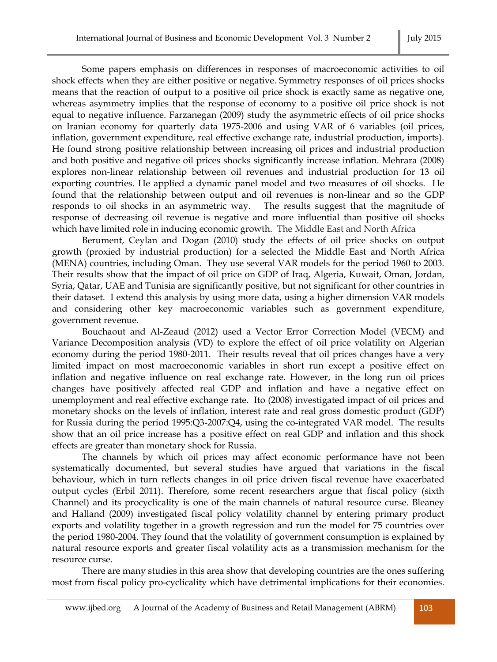Some papers emphasis on differences in responses of macroeconomic activities to oil shock effects when they are either positive or negative. Symmetry responses of oil prices shocks means that the reaction of output to a positive oil price shock is exactly same as negative one, whereas asymmetry implies that the response of economy to a positive oil price shock is not equal to negative influence. Farzanegan (2009) study the asymmetric effects of oil price shocks on Iranian economy for quarterly data 1975-2006 and using VAR of 6 variables (oil prices, inflation, government expenditure, real effective exchange rate, industrial production, imports). He found strong positive relationship between increasing oil prices and industrial production and both positive and negative oil prices shocks significantly increase inflation. Mehrara (2008) explores non-linear relationship between oil revenues and industrial production for 13 oil exporting countries. He applied a dynamic panel model and two measures of oil shocks. He found that the relationship between output and oil revenues is non-linear and so the GDP responds to oil shocks in an asymmetric way. The results suggest that the magnitude of response of decreasing oil revenue is negative and more influential than positive oil shocks which have limited role in inducing economic growth. The Middle East and North Africa

Berument, Ceylan and Dogan (2010) study the effects of oil price shocks on output growth (proxied by industrial production) for a selected the Middle East and North Africa (MENA) countries, including Oman. They use several VAR models for the period 1960 to 2003. Their results show that the impact of oil price on GDP of Iraq, Algeria, Kuwait, Oman, Jordan, Syria, Qatar, UAE and Tunisia are significantly positive, but not significant for other countries in their dataset. I extend this analysis by using more data, using a higher dimension VAR models and considering other key macroeconomic variables such as government expenditure, government revenue.

Bouchaout and Al-Zeaud (2012) used a Vector Error Correction Model (VECM) and Variance Decomposition analysis (VD) to explore the effect of oil price volatility on Algerian economy during the period 1980-2011. Their results reveal that oil prices changes have a very limited impact on most macroeconomic variables in short run except a positive effect on inflation and negative influence on real exchange rate. However, in the long run oil prices changes have positively affected real GDP and inflation and have a negative effect on unemployment and real effective exchange rate. Ito (2008) investigated impact of oil prices and monetary shocks on the levels of inflation, interest rate and real gross domestic product (GDP) for Russia during the period 1995:Q3-2007:Q4, using the co-integrated VAR model. The results show that an oil price increase has a positive effect on real GDP and inflation and this shock effects are greater than monetary shock for Russia.

The channels by which oil prices may affect economic performance have not been systematically documented, but several studies have argued that variations in the fiscal behaviour, which in turn reflects changes in oil price driven fiscal revenue have exacerbated output cycles (Erbil 2011). Therefore, some recent researchers argue that fiscal policy (sixth Channel) and its procyclicality is one of the main channels of natural resource curse. Bleaney and Halland (2009) investigated fiscal policy volatility channel by entering primary product exports and volatility together in a growth regression and run the model for 75 countries over the period 1980-2004. They found that the volatility of government consumption is explained by natural resource exports and greater fiscal volatility acts as a transmission mechanism for the resource curse.

There are many studies in this area show that developing countries are the ones suffering most from fiscal policy pro-cyclicality which have detrimental implications for their economies.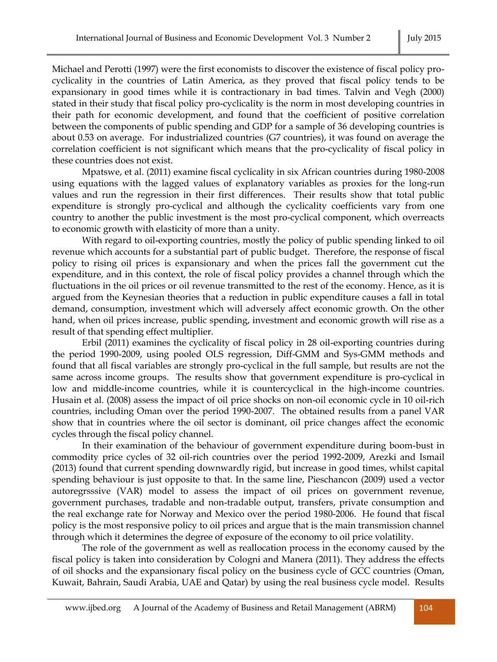Michael and Perotti (1997) were the first economists to discover the existence of fiscal policy procyclicality in the countries of Latin America, as they proved that fiscal policy tends to be expansionary in good times while it is contractionary in bad times. Talvin and Vegh (2000) stated in their study that fiscal policy pro-cyclicality is the norm in most developing countries in their path for economic development, and found that the coefficient of positive correlation between the components of public spending and GDP for a sample of 36 developing countries is about 0.53 on average. For industrialized countries (G7 countries), it was found on average the correlation coefficient is not significant which means that the pro-cyclicality of fiscal policy in these countries does not exist.

Mpatswe, et al. (2011) examine fiscal cyclicality in six African countries during 1980-2008 using equations with the lagged values of explanatory variables as proxies for the long-run values and run the regression in their first differences. Their results show that total public expenditure is strongly pro-cyclical and although the cyclicality coefficients vary from one country to another the public investment is the most pro-cyclical component, which overreacts to economic growth with elasticity of more than a unity.

With regard to oil-exporting countries, mostly the policy of public spending linked to oil revenue which accounts for a substantial part of public budget. Therefore, the response of fiscal policy to rising oil prices is expansionary and when the prices fall the government cut the expenditure, and in this context, the role of fiscal policy provides a channel through which the fluctuations in the oil prices or oil revenue transmitted to the rest of the economy. Hence, as it is argued from the Keynesian theories that a reduction in public expenditure causes a fall in total demand, consumption, investment which will adversely affect economic growth. On the other hand, when oil prices increase, public spending, investment and economic growth will rise as a result of that spending effect multiplier.

Erbil (2011) examines the cyclicality of fiscal policy in 28 oil-exporting countries during the period 1990-2009, using pooled OLS regression, Diff-GMM and Sys-GMM methods and found that all fiscal variables are strongly pro-cyclical in the full sample, but results are not the same across income groups. The results show that government expenditure is pro-cyclical in low and middle-income countries, while it is countercyclical in the high-income countries. Husain et al. (2008) assess the impact of oil price shocks on non-oil economic cycle in 10 oil-rich countries, including Oman over the period 1990-2007. The obtained results from a panel VAR show that in countries where the oil sector is dominant, oil price changes affect the economic cycles through the fiscal policy channel.

In their examination of the behaviour of government expenditure during boom-bust in commodity price cycles of 32 oil-rich countries over the period 1992-2009, Arezki and Ismail (2013) found that current spending downwardly rigid, but increase in good times, whilst capital spending behaviour is just opposite to that. In the same line, Pieschancon (2009) used a vector autoregrsssive (VAR) model to assess the impact of oil prices on government revenue, government purchases, tradable and non-tradable output, transfers, private consumption and the real exchange rate for Norway and Mexico over the period 1980-2006. He found that fiscal policy is the most responsive policy to oil prices and argue that is the main transmission channel through which it determines the degree of exposure of the economy to oil price volatility.

The role of the government as well as reallocation process in the economy caused by the fiscal policy is taken into consideration by Cologni and Manera (2011). They address the effects of oil shocks and the expansionary fiscal policy on the business cycle of GCC countries (Oman, Kuwait, Bahrain, Saudi Arabia, UAE and Qatar) by using the real business cycle model. Results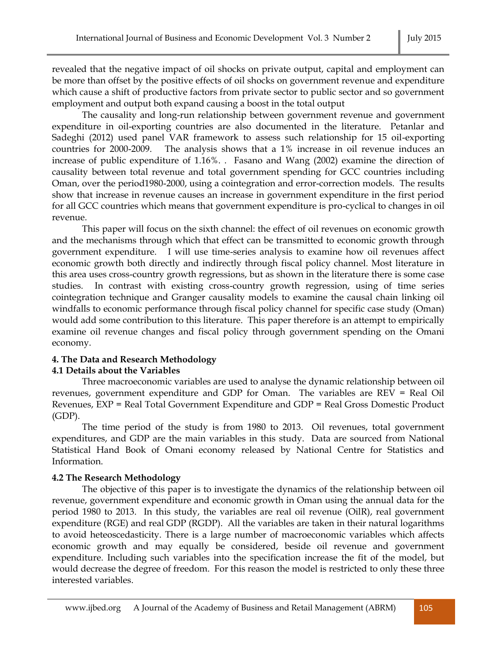revealed that the negative impact of oil shocks on private output, capital and employment can be more than offset by the positive effects of oil shocks on government revenue and expenditure which cause a shift of productive factors from private sector to public sector and so government employment and output both expand causing a boost in the total output

The causality and long-run relationship between government revenue and government expenditure in oil-exporting countries are also documented in the literature. Petanlar and Sadeghi (2012) used panel VAR framework to assess such relationship for 15 oil-exporting countries for 2000-2009. The analysis shows that a 1% increase in oil revenue induces an increase of public expenditure of 1.16%. . Fasano and Wang (2002) examine the direction of causality between total revenue and total government spending for GCC countries including Oman, over the period1980-2000, using a cointegration and error-correction models. The results show that increase in revenue causes an increase in government expenditure in the first period for all GCC countries which means that government expenditure is pro-cyclical to changes in oil revenue.

This paper will focus on the sixth channel: the effect of oil revenues on economic growth and the mechanisms through which that effect can be transmitted to economic growth through government expenditure. I will use time-series analysis to examine how oil revenues affect economic growth both directly and indirectly through fiscal policy channel. Most literature in this area uses cross-country growth regressions, but as shown in the literature there is some case studies. In contrast with existing cross-country growth regression, using of time series cointegration technique and Granger causality models to examine the causal chain linking oil windfalls to economic performance through fiscal policy channel for specific case study (Oman) would add some contribution to this literature. This paper therefore is an attempt to empirically examine oil revenue changes and fiscal policy through government spending on the Omani economy.

# **4. The Data and Research Methodology**

# **4.1 Details about the Variables**

Three macroeconomic variables are used to analyse the dynamic relationship between oil revenues, government expenditure and GDP for Oman. The variables are REV = Real Oil Revenues, EXP = Real Total Government Expenditure and GDP = Real Gross Domestic Product (GDP).

The time period of the study is from 1980 to 2013. Oil revenues, total government expenditures, and GDP are the main variables in this study. Data are sourced from National Statistical Hand Book of Omani economy released by National Centre for Statistics and Information.

# **4.2 The Research Methodology**

The objective of this paper is to investigate the dynamics of the relationship between oil revenue, government expenditure and economic growth in Oman using the annual data for the period 1980 to 2013. In this study, the variables are real oil revenue (OilR), real government expenditure (RGE) and real GDP (RGDP). All the variables are taken in their natural logarithms to avoid heteoscedasticity. There is a large number of macroeconomic variables which affects economic growth and may equally be considered, beside oil revenue and government expenditure. Including such variables into the specification increase the fit of the model, but would decrease the degree of freedom. For this reason the model is restricted to only these three interested variables.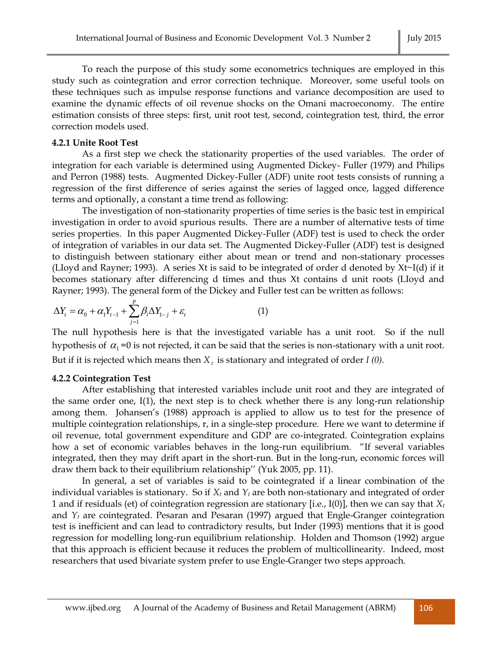To reach the purpose of this study some econometrics techniques are employed in this study such as cointegration and error correction technique. Moreover, some useful tools on these techniques such as impulse response functions and variance decomposition are used to examine the dynamic effects of oil revenue shocks on the Omani macroeconomy. The entire estimation consists of three steps: first, unit root test, second, cointegration test, third, the error correction models used.

#### **4.2.1 Unite Root Test**

As a first step we check the stationarity properties of the used variables. The order of integration for each variable is determined using Augmented Dickey- Fuller (1979) and Philips and Perron (1988) tests. Augmented Dickey-Fuller (ADF) unite root tests consists of running a regression of the first difference of series against the series of lagged once, lagged difference terms and optionally, a constant a time trend as following:

The investigation of non-stationarity properties of time series is the basic test in empirical investigation in order to avoid spurious results. There are a number of alternative tests of time series properties. In this paper Augmented Dickey-Fuller (ADF) test is used to check the order of integration of variables in our data set. The Augmented Dickey-Fuller (ADF) test is designed to distinguish between stationary either about mean or trend and non-stationary processes (LIoyd and Rayner; 1993). A series Хt is said to be integrated of order d denoted by Хt~I(d) if it becomes stationary after differencing d times and thus Хt contains d unit roots (LIoyd and Rayner; 1993). The general form of the Dickey and Fuller test can be written as follows:

$$
\Delta Y_t = \alpha_0 + \alpha_1 Y_{t-1} + \sum_{j=1}^p \beta_j \Delta Y_{1-j} + \varepsilon_t
$$
\n(1)

The null hypothesis here is that the investigated variable has a unit root. So if the null hypothesis of  $\alpha_1$  =0 is not rejected, it can be said that the series is non-stationary with a unit root. But if it is rejected which means then *Х t* is stationary and integrated of order *I (0).*

#### **4.2.2 Cointegration Test**

After establishing that interested variables include unit root and they are integrated of the same order one,  $I(1)$ , the next step is to check whether there is any long-run relationship among them. Johansen's (1988) approach is applied to allow us to test for the presence of multiple cointegration relationships, r, in a single-step procedure. Here we want to determine if oil revenue, total government expenditure and GDP are co-integrated. Cointegration explains how a set of economic variables behaves in the long-run equilibrium. "If several variables integrated, then they may drift apart in the short-run. But in the long-run, economic forces will draw them back to their equilibrium relationship'' (Yuk 2005, pp. 11).

In general, a set of variables is said to be cointegrated if a linear combination of the individual variables is stationary. So if *X<sup>t</sup>* and *Y<sup>t</sup>* are both non-stationary and integrated of order 1 and if residuals (et) of cointegration regression are stationary [i.e., I(0)], then we can say that *X<sup>t</sup>* and  $Y_t$  are cointegrated. Pesaran and Pesaran (1997) argued that Engle-Granger cointegration test is inefficient and can lead to contradictory results, but Inder (1993) mentions that it is good regression for modelling long-run equilibrium relationship. Holden and Thomson (1992) argue that this approach is efficient because it reduces the problem of multicollinearity. Indeed, most researchers that used bivariate system prefer to use Engle-Granger two steps approach.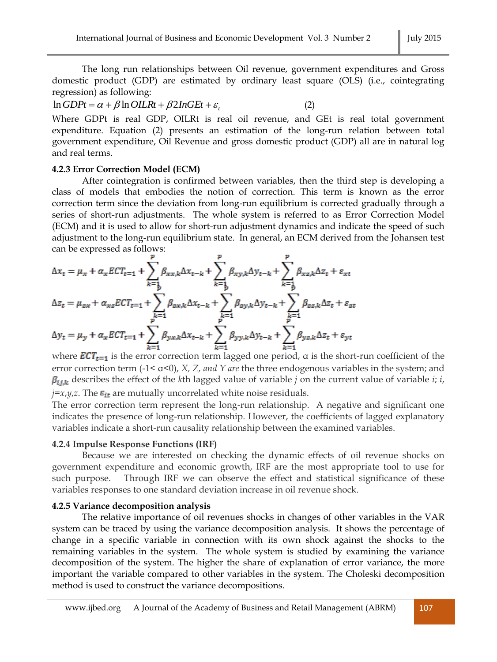The long run relationships between Oil revenue, government expenditures and Gross domestic product (GDP) are estimated by ordinary least square (OLS) (i.e., cointegrating regression) as following:

 $\ln GDPt = \alpha + \beta \ln OILRt + \beta 2InGEt + \varepsilon$ <sub>t</sub> (2)

Where GDPt is real GDP, OILRt is real oil revenue, and GEt is real total government expenditure. Equation (2) presents an estimation of the long-run relation between total government expenditure, Oil Revenue and gross domestic product (GDP) all are in natural log and real terms.

### **4.2.3 Error Correction Model (ECM)**

After cointegration is confirmed between variables, then the third step is developing a class of models that embodies the notion of correction. This term is known as the error correction term since the deviation from long-run equilibrium is corrected gradually through a series of short-run adjustments. The whole system is referred to as Error Correction Model (ECM) and it is used to allow for short-run adjustment dynamics and indicate the speed of such adjustment to the long-run equilibrium state. In general, an ECM derived from the Johansen test can be expressed as follows:

$$
\Delta x_{t} = \mu_{x} + \alpha_{x} E C T_{t=1} + \sum_{k=1}^{p} \beta_{x x, k} \Delta x_{t-k} + \sum_{k=1}^{p} \beta_{x y, k} \Delta y_{t-k} + \sum_{k=1}^{p} \beta_{x z, k} \Delta z_{t} + \varepsilon_{x t}
$$

$$
\Delta z_{t} = \mu_{z x} + \alpha_{x z} E C T_{t=1} + \sum_{k=1}^{p} \beta_{z x, k} \Delta x_{t-k} + \sum_{k=1}^{p} \beta_{z y, k} \Delta y_{t-k} + \sum_{k=1}^{p} \beta_{z z, k} \Delta z_{t} + \varepsilon_{z t}
$$

$$
\Delta y_{t} = \mu_{y} + \alpha_{x} E C T_{t=1} + \sum_{k=1}^{p} \beta_{y x, k} \Delta x_{t-k} + \sum_{k=1}^{p} \beta_{y y, k} \Delta y_{t-k} + \sum_{k=1}^{p} \beta_{y z, k} \Delta z_{t} + \varepsilon_{y t}
$$

where  $\text{ECT}_{t=1}$  is the error correction term lagged one period,  $\alpha$  is the short-run coefficient of the error correction term (-1< α<0), *X, Z, and Y are* the three endogenous variables in the system; and  $\beta_{i j, k}$  describes the effect of the *k*th lagged value of variable *j* on the current value of variable *i*; *i*,  $j=x,y,z$ . The  $\varepsilon_{it}$  are mutually uncorrelated white noise residuals.

The error correction term represent the long-run relationship. A negative and significant one indicates the presence of long-run relationship. However, the coefficients of lagged explanatory variables indicate a short-run causality relationship between the examined variables.

### **4.2.4 Impulse Response Functions (IRF)**

Because we are interested on checking the dynamic effects of oil revenue shocks on government expenditure and economic growth, IRF are the most appropriate tool to use for such purpose. Through IRF we can observe the effect and statistical significance of these variables responses to one standard deviation increase in oil revenue shock.

### **4.2.5 Variance decomposition analysis**

The relative importance of oil revenues shocks in changes of other variables in the VAR system can be traced by using the variance decomposition analysis. It shows the percentage of change in a specific variable in connection with its own shock against the shocks to the remaining variables in the system. The whole system is studied by examining the variance decomposition of the system. The higher the share of explanation of error variance, the more important the variable compared to other variables in the system. The Choleski decomposition method is used to construct the variance decompositions.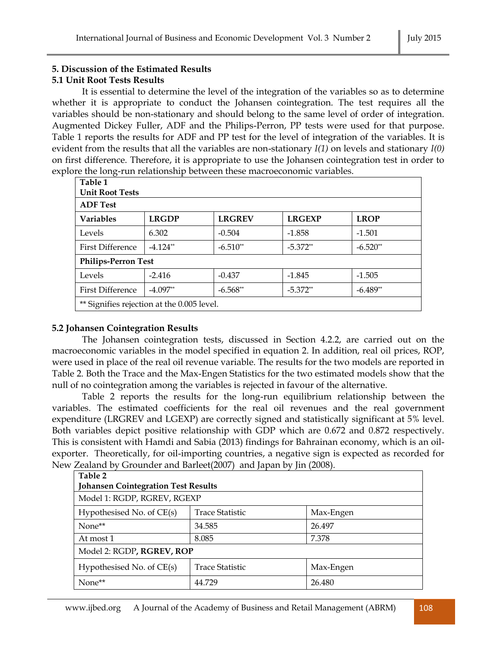# **5. Discussion of the Estimated Results**

# **5.1 Unit Root Tests Results**

It is essential to determine the level of the integration of the variables so as to determine whether it is appropriate to conduct the Johansen cointegration. The test requires all the variables should be non-stationary and should belong to the same level of order of integration. Augmented Dickey Fuller, ADF and the Philips-Perron, PP tests were used for that purpose. Table 1 reports the results for ADF and PP test for the level of integration of the variables. It is evident from the results that all the variables are non-stationary *I(1)* on levels and stationary *I(0)* on first difference. Therefore, it is appropriate to use the Johansen cointegration test in order to explore the long-run relationship between these macroeconomic variables.

| Table 1                                    |              |               |               |             |
|--------------------------------------------|--------------|---------------|---------------|-------------|
| <b>Unit Root Tests</b>                     |              |               |               |             |
| <b>ADF</b> Test                            |              |               |               |             |
| <b>Variables</b>                           | <b>LRGDP</b> | <b>LRGREV</b> | <b>LRGEXP</b> | <b>LROP</b> |
| Levels                                     | 6.302        | $-0.504$      | $-1.858$      | $-1.501$    |
| <b>First Difference</b>                    | $-4.124**$   | $-6.510**$    | $-5.372**$    | $-6.520**$  |
| <b>Philips-Perron Test</b>                 |              |               |               |             |
| Levels                                     | $-2.416$     | $-0.437$      | $-1.845$      | $-1.505$    |
| <b>First Difference</b>                    | $-4.097**$   | $-6.568**$    | $-5.372**$    | $-6.489**$  |
| ** Signifies rejection at the 0.005 level. |              |               |               |             |

# **5.2 Johansen Cointegration Results**

The Johansen cointegration tests, discussed in Section 4.2.2, are carried out on the macroeconomic variables in the model specified in equation 2. In addition, real oil prices, ROP, were used in place of the real oil revenue variable. The results for the two models are reported in Table 2. Both the Trace and the Max-Engen Statistics for the two estimated models show that the null of no cointegration among the variables is rejected in favour of the alternative.

Table 2 reports the results for the long-run equilibrium relationship between the variables. The estimated coefficients for the real oil revenues and the real government expenditure (LRGREV and LGEXP) are correctly signed and statistically significant at 5% level. Both variables depict positive relationship with GDP which are 0.672 and 0.872 respectively. This is consistent with Hamdi and Sabia (2013) findings for Bahrainan economy, which is an oilexporter. Theoretically, for oil-importing countries, a negative sign is expected as recorded for New Zealand by Grounder and Barleet(2007) and Japan by Jin (2008).

| Table 2<br><b>Johansen Cointegration Test Results</b> |                 |           |  |  |
|-------------------------------------------------------|-----------------|-----------|--|--|
| Model 1: RGDP, RGREV, RGEXP                           |                 |           |  |  |
| Hypothesised No. of CE(s)                             | Trace Statistic | Max-Engen |  |  |
| None**                                                | 34.585          | 26.497    |  |  |
| At most 1                                             | 8.085           | 7.378     |  |  |
| Model 2: RGDP, RGREV, ROP                             |                 |           |  |  |
| Hypothesised No. of CE(s)                             | Trace Statistic | Max-Engen |  |  |
| None**                                                | 44.729          | 26.480    |  |  |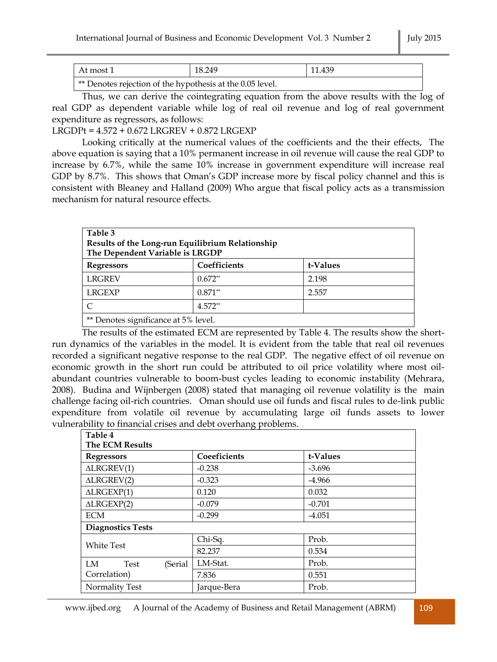| ∣At most 1                                                      | 18.249 | 11.439 |
|-----------------------------------------------------------------|--------|--------|
| $\pm$ ** Departes rejection of the bypathesis at the 0.05 level |        |        |

Denotes rejection of the hypothesis at the 0.05 level.

Thus, we can derive the cointegrating equation from the above results with the log of real GDP as dependent variable while log of real oil revenue and log of real government expenditure as regressors, as follows:

LRGDPt = 4.572 + 0.672 LRGREV + 0.872 LRGEXP

Looking critically at the numerical values of the coefficients and the their effects, The above equation is saying that a 10% permanent increase in oil revenue will cause the real GDP to increase by 6.7%, while the same 10% increase in government expenditure will increase real GDP by 8.7%. This shows that Oman's GDP increase more by fiscal policy channel and this is consistent with Bleaney and Halland (2009) Who argue that fiscal policy acts as a transmission mechanism for natural resource effects.

| Table 3<br>Results of the Long-run Equilibrium Relationship<br>The Dependent Variable is LRGDP                                                                                                                                                                                                                                     |              |          |
|------------------------------------------------------------------------------------------------------------------------------------------------------------------------------------------------------------------------------------------------------------------------------------------------------------------------------------|--------------|----------|
| <b>Regressors</b>                                                                                                                                                                                                                                                                                                                  | Coefficients | t-Values |
| <b>LRGREV</b>                                                                                                                                                                                                                                                                                                                      | $0.672**$    | 2.198    |
| <b>LRGEXP</b>                                                                                                                                                                                                                                                                                                                      | $0.871**$    | 2.557    |
|                                                                                                                                                                                                                                                                                                                                    | $4.572**$    |          |
| $\cdot$ $\sim$<br>$\frac{1}{2}$ and $\frac{1}{2}$ and $\frac{1}{2}$ and $\frac{1}{2}$ and $\frac{1}{2}$ and $\frac{1}{2}$ and $\frac{1}{2}$ and $\frac{1}{2}$ and $\frac{1}{2}$ and $\frac{1}{2}$ and $\frac{1}{2}$ and $\frac{1}{2}$ and $\frac{1}{2}$ and $\frac{1}{2}$ and $\frac{1}{2}$ and $\frac{1}{2}$ a<br>$\cdot$ = $0/1$ |              |          |

\*\* Denotes significance at 5% level.

The results of the estimated ECM are represented by Table 4. The results show the shortrun dynamics of the variables in the model. It is evident from the table that real oil revenues recorded a significant negative response to the real GDP. The negative effect of oil revenue on economic growth in the short run could be attributed to oil price volatility where most oilabundant countries vulnerable to boom-bust cycles leading to economic instability (Mehrara, 2008). Budina and Wijnbergen (2008) stated that managing oil revenue volatility is the main challenge facing oil-rich countries. Oman should use oil funds and fiscal rules to de-link public expenditure from volatile oil revenue by accumulating large oil funds assets to lower vulnerability to financial crises and debt overhang problems.

| Table 4                  |              |          |  |
|--------------------------|--------------|----------|--|
| <b>The ECM Results</b>   |              |          |  |
| <b>Regressors</b>        | Coeeficients | t-Values |  |
| $\triangle$ LRGREV(1)    | $-0.238$     | $-3.696$ |  |
| $\triangle$ LRGREV(2)    | $-0.323$     | $-4.966$ |  |
| $\triangle$ LRGEXP(1)    | 0.120        | 0.032    |  |
| $\triangle LRGEXP(2)$    | $-0.079$     | $-0.701$ |  |
| <b>ECM</b>               | $-0.299$     | $-4.051$ |  |
| <b>Diagnostics Tests</b> |              |          |  |
| <b>White Test</b>        | Chi-Sq.      | Prob.    |  |
|                          | 82.237       | 0.534    |  |
| LM<br>Test<br>(Serial    | LM-Stat.     | Prob.    |  |
| Correlation)             | 7.836        | 0.551    |  |
| Normality Test           | Jarque-Bera  | Prob.    |  |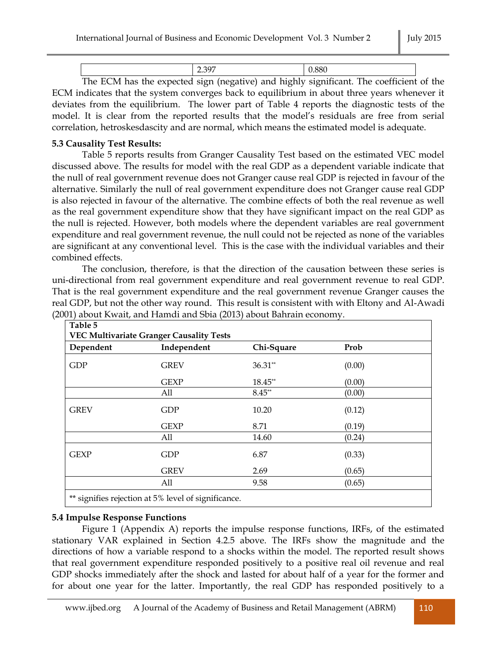| $T^2$<br>$-1$ | $\sim$ | $\sim$ |
|---------------|--------|--------|

The ECM has the expected sign (negative) and highly significant. The coefficient of the ECM indicates that the system converges back to equilibrium in about three years whenever it deviates from the equilibrium. The lower part of Table 4 reports the diagnostic tests of the model. It is clear from the reported results that the model's residuals are free from serial correlation, hetroskesdascity and are normal, which means the estimated model is adequate.

## **5.3 Causality Test Results:**

Table 5 reports results from Granger Causality Test based on the estimated VEC model discussed above. The results for model with the real GDP as a dependent variable indicate that the null of real government revenue does not Granger cause real GDP is rejected in favour of the alternative. Similarly the null of real government expenditure does not Granger cause real GDP is also rejected in favour of the alternative. The combine effects of both the real revenue as well as the real government expenditure show that they have significant impact on the real GDP as the null is rejected. However, both models where the dependent variables are real government expenditure and real government revenue, the null could not be rejected as none of the variables are significant at any conventional level. This is the case with the individual variables and their combined effects.

The conclusion, therefore, is that the direction of the causation between these series is uni-directional from real government expenditure and real government revenue to real GDP. That is the real government expenditure and the real government revenue Granger causes the real GDP, but not the other way round. This result is consistent with with Eltony and Al-Awadi (2001) about Kwait, and Hamdi and Sbia (2013) about Bahrain economy.

| Dependent   | Independent | Chi-Square | Prob   |  |
|-------------|-------------|------------|--------|--|
| <b>GDP</b>  | <b>GREV</b> | $36.31**$  | (0.00) |  |
|             | <b>GEXP</b> | 18.45**    | (0.00) |  |
|             | All         | $8.45**$   | (0.00) |  |
| <b>GREV</b> | <b>GDP</b>  | 10.20      | (0.12) |  |
|             | <b>GEXP</b> | 8.71       | (0.19) |  |
|             | All         | 14.60      | (0.24) |  |
| <b>GEXP</b> | <b>GDP</b>  | 6.87       | (0.33) |  |
|             | <b>GREV</b> | 2.69       | (0.65) |  |
|             | All         | 9.58       | (0.65) |  |

### **5.4 Impulse Response Functions**

Figure 1 (Appendix A) reports the impulse response functions, IRFs, of the estimated stationary VAR explained in Section 4.2.5 above. The IRFs show the magnitude and the directions of how a variable respond to a shocks within the model. The reported result shows that real government expenditure responded positively to a positive real oil revenue and real GDP shocks immediately after the shock and lasted for about half of a year for the former and for about one year for the latter. Importantly, the real GDP has responded positively to a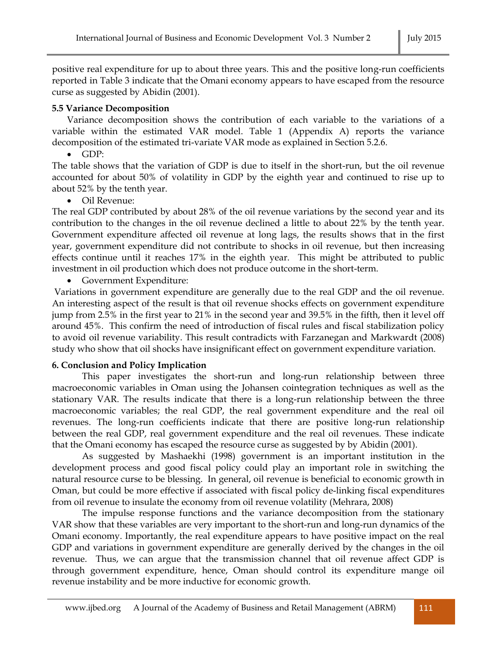positive real expenditure for up to about three years. This and the positive long-run coefficients reported in Table 3 indicate that the Omani economy appears to have escaped from the resource curse as suggested by Abidin (2001).

# **5.5 Variance Decomposition**

Variance decomposition shows the contribution of each variable to the variations of a variable within the estimated VAR model. Table 1 (Appendix A) reports the variance decomposition of the estimated tri-variate VAR mode as explained in Section 5.2.6.

GDP:

The table shows that the variation of GDP is due to itself in the short-run, but the oil revenue accounted for about 50% of volatility in GDP by the eighth year and continued to rise up to about 52% by the tenth year.

Oil Revenue:

The real GDP contributed by about 28% of the oil revenue variations by the second year and its contribution to the changes in the oil revenue declined a little to about 22% by the tenth year. Government expenditure affected oil revenue at long lags, the results shows that in the first year, government expenditure did not contribute to shocks in oil revenue, but then increasing effects continue until it reaches 17% in the eighth year. This might be attributed to public investment in oil production which does not produce outcome in the short-term.

Government Expenditure:

Variations in government expenditure are generally due to the real GDP and the oil revenue. An interesting aspect of the result is that oil revenue shocks effects on government expenditure jump from 2.5% in the first year to 21% in the second year and 39.5% in the fifth, then it level off around 45%. This confirm the need of introduction of fiscal rules and fiscal stabilization policy to avoid oil revenue variability. This result contradicts with Farzanegan and Markwardt (2008) study who show that oil shocks have insignificant effect on government expenditure variation.

# **6. Conclusion and Policy Implication**

This paper investigates the short-run and long-run relationship between three macroeconomic variables in Oman using the Johansen cointegration techniques as well as the stationary VAR. The results indicate that there is a long-run relationship between the three macroeconomic variables; the real GDP, the real government expenditure and the real oil revenues. The long-run coefficients indicate that there are positive long-run relationship between the real GDP, real government expenditure and the real oil revenues. These indicate that the Omani economy has escaped the resource curse as suggested by by Abidin (2001).

As suggested by Mashaekhi (1998) government is an important institution in the development process and good fiscal policy could play an important role in switching the natural resource curse to be blessing. In general, oil revenue is beneficial to economic growth in Oman, but could be more effective if associated with fiscal policy de-linking fiscal expenditures from oil revenue to insulate the economy from oil revenue volatility (Mehrara, 2008)

The impulse response functions and the variance decomposition from the stationary VAR show that these variables are very important to the short-run and long-run dynamics of the Omani economy. Importantly, the real expenditure appears to have positive impact on the real GDP and variations in government expenditure are generally derived by the changes in the oil revenue. Thus, we can argue that the transmission channel that oil revenue affect GDP is through government expenditure, hence, Oman should control its expenditure mange oil revenue instability and be more inductive for economic growth.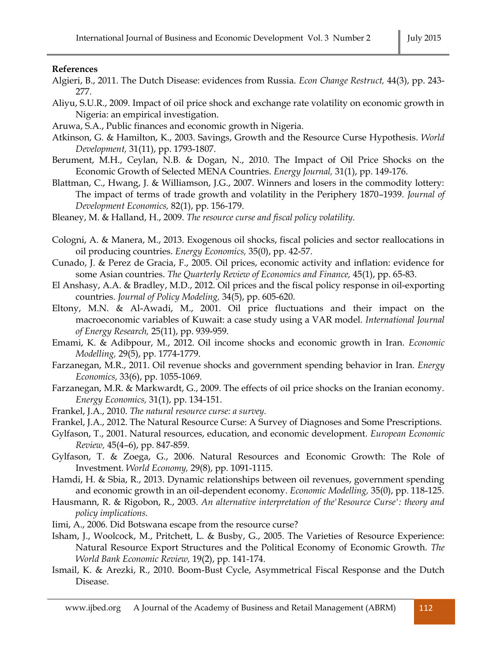### **References**

- Algieri, B., 2011. The Dutch Disease: evidences from Russia. *Econ Change Restruct,* 44(3), pp. 243- 277.
- Aliyu, S.U.R., 2009. Impact of oil price shock and exchange rate volatility on economic growth in Nigeria: an empirical investigation.
- Aruwa, S.A., Public finances and economic growth in Nigeria.
- Atkinson, G. & Hamilton, K., 2003. Savings, Growth and the Resource Curse Hypothesis. *World Development,* 31(11), pp. 1793-1807.
- Berument, M.H., Ceylan, N.B. & Dogan, N., 2010. The Impact of Oil Price Shocks on the Economic Growth of Selected MENA Countries. *Energy Journal,* 31(1), pp. 149-176.
- Blattman, C., Hwang, J. & Williamson, J.G., 2007. Winners and losers in the commodity lottery: The impact of terms of trade growth and volatility in the Periphery 1870–1939. *Journal of Development Economics,* 82(1), pp. 156-179.
- Bleaney, M. & Halland, H., 2009. *The resource curse and fiscal policy volatility.*
- Cologni, A. & Manera, M., 2013. Exogenous oil shocks, fiscal policies and sector reallocations in oil producing countries. *Energy Economics,* 35(0), pp. 42-57.
- Cunado, J. & Perez de Gracia, F., 2005. Oil prices, economic activity and inflation: evidence for some Asian countries. *The Quarterly Review of Economics and Finance,* 45(1), pp. 65-83.

El Anshasy, A.A. & Bradley, M.D., 2012. Oil prices and the fiscal policy response in oil-exporting countries. *Journal of Policy Modeling,* 34(5), pp. 605-620.

- Eltony, M.N. & Al-Awadi, M., 2001. Oil price fluctuations and their impact on the macroeconomic variables of Kuwait: a case study using a VAR model. *International Journal of Energy Research,* 25(11), pp. 939-959.
- Emami, K. & Adibpour, M., 2012. Oil income shocks and economic growth in Iran. *Economic Modelling,* 29(5), pp. 1774-1779.
- Farzanegan, M.R., 2011. Oil revenue shocks and government spending behavior in Iran. *Energy Economics,* 33(6), pp. 1055-1069.
- Farzanegan, M.R. & Markwardt, G., 2009. The effects of oil price shocks on the Iranian economy. *Energy Economics,* 31(1), pp. 134-151.
- Frankel, J.A., 2010. *The natural resource curse: a survey.*
- Frankel, J.A., 2012. The Natural Resource Curse: A Survey of Diagnoses and Some Prescriptions.
- Gylfason, T., 2001. Natural resources, education, and economic development. *European Economic Review,* 45(4–6), pp. 847-859.
- Gylfason, T. & Zoega, G., 2006. Natural Resources and Economic Growth: The Role of Investment. *World Economy,* 29(8), pp. 1091-1115.
- Hamdi, H. & Sbia, R., 2013. Dynamic relationships between oil revenues, government spending and economic growth in an oil-dependent economy. *Economic Modelling,* 35(0), pp. 118-125.
- Hausmann, R. & Rigobon, R., 2003. *An alternative interpretation of the'Resource Curse': theory and policy implications.*
- Iimi, A., 2006. Did Botswana escape from the resource curse?
- Isham, J., Woolcock, M., Pritchett, L. & Busby, G., 2005. The Varieties of Resource Experience: Natural Resource Export Structures and the Political Economy of Economic Growth. *The World Bank Economic Review,* 19(2), pp. 141-174.
- Ismail, K. & Arezki, R., 2010. Boom-Bust Cycle, Asymmetrical Fiscal Response and the Dutch Disease.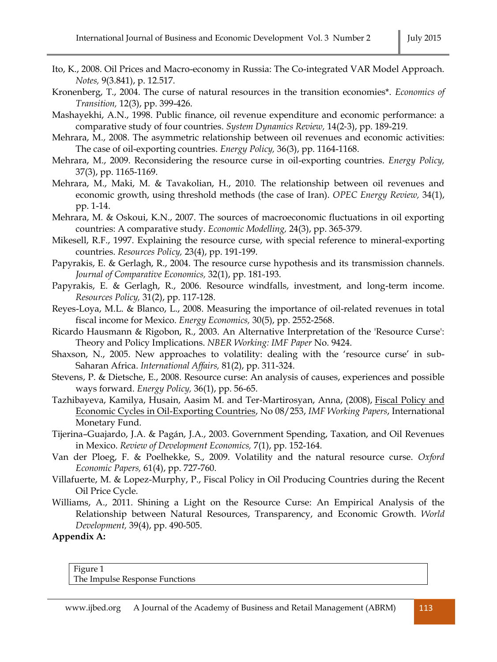- Ito, K., 2008. Oil Prices and Macro-economy in Russia: The Co-integrated VAR Model Approach. *Notes,* 9(3.841), p. 12.517.
- Kronenberg, T., 2004. The curse of natural resources in the transition economies\*. *Economics of Transition,* 12(3), pp. 399-426.
- Mashayekhi, A.N., 1998. Public finance, oil revenue expenditure and economic performance: a comparative study of four countries. *System Dynamics Review,* 14(2‐3), pp. 189-219.
- Mehrara, M., 2008. The asymmetric relationship between oil revenues and economic activities: The case of oil-exporting countries. *Energy Policy,* 36(3), pp. 1164-1168.
- Mehrara, M., 2009. Reconsidering the resource curse in oil-exporting countries. *Energy Policy,* 37(3), pp. 1165-1169.
- Mehrara, M., Maki, M. & Tavakolian, H., 2010. The relationship between oil revenues and economic growth, using threshold methods (the case of Iran). *OPEC Energy Review,* 34(1), pp. 1-14.
- Mehrara, M. & Oskoui, K.N., 2007. The sources of macroeconomic fluctuations in oil exporting countries: A comparative study. *Economic Modelling,* 24(3), pp. 365-379.
- Mikesell, R.F., 1997. Explaining the resource curse, with special reference to mineral-exporting countries. *Resources Policy,* 23(4), pp. 191-199.
- Papyrakis, E. & Gerlagh, R., 2004. The resource curse hypothesis and its transmission channels. *Journal of Comparative Economics,* 32(1), pp. 181-193.
- Papyrakis, E. & Gerlagh, R., 2006. Resource windfalls, investment, and long-term income. *Resources Policy,* 31(2), pp. 117-128.
- Reyes-Loya, M.L. & Blanco, L., 2008. Measuring the importance of oil-related revenues in total fiscal income for Mexico. *Energy Economics,* 30(5), pp. 2552-2568.
- Ricardo Hausmann & Rigobon, R., 2003. An Alternative Interpretation of the 'Resource Curse': Theory and Policy Implications. *NBER Working: IMF Paper* No. 9424.
- Shaxson, N., 2005. New approaches to volatility: dealing with the 'resource curse' in sub-Saharan Africa. *International Affairs,* 81(2), pp. 311-324.
- Stevens, P. & Dietsche, E., 2008. Resource curse: An analysis of causes, experiences and possible ways forward. *Energy Policy,* 36(1), pp. 56-65.
- Tazhibayeva, Kamilya, Husain, Aasim M. and Ter-Martirosyan, Anna, (2008), [Fiscal Policy and](http://econpapers.repec.org/RePEc:imf:imfwpa:08/253)  [Economic Cycles in Oil-Exporting Countries,](http://econpapers.repec.org/RePEc:imf:imfwpa:08/253) No 08/253, *IMF Working Papers*, International Monetary Fund.
- Tijerina–Guajardo, J.A. & Pagán, J.A., 2003. Government Spending, Taxation, and Oil Revenues in Mexico. *Review of Development Economics,* 7(1), pp. 152-164.
- Van der Ploeg, F. & Poelhekke, S., 2009. Volatility and the natural resource curse. *Oxford Economic Papers,* 61(4), pp. 727-760.
- Villafuerte, M. & Lopez-Murphy, P., Fiscal Policy in Oil Producing Countries during the Recent Oil Price Cycle.
- Williams, A., 2011. Shining a Light on the Resource Curse: An Empirical Analysis of the Relationship between Natural Resources, Transparency, and Economic Growth. *World Development,* 39(4), pp. 490-505.

**Appendix A:** 

Figure 1 The Impulse Response Functions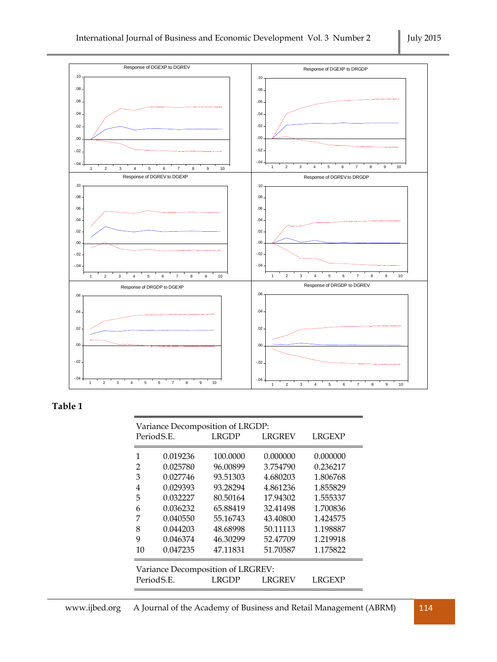

## **Table 1**

| Period S.E. |                                   | Variance Decomposition of LRGDP:<br><b>LRGDP</b> | <b>LRGREV</b> | <b>LRGEXP</b> |  |
|-------------|-----------------------------------|--------------------------------------------------|---------------|---------------|--|
| 1           | 0.019236                          | 100.0000                                         | 0.000000      | 0.000000      |  |
| 2           | 0.025780                          | 96.00899                                         | 3.754790      | 0.236217      |  |
| 3           | 0.027746                          | 93.51303                                         | 4.680203      | 1.806768      |  |
| 4           | 0.029393                          | 93.28294                                         | 4.861236      | 1.855829      |  |
| 5           | 0.032227                          | 80.50164                                         | 17.94302      | 1.555337      |  |
| 6           | 0.036232                          | 65.88419                                         | 32.41498      | 1.700836      |  |
| 7           | 0.040550                          | 55.16743                                         | 43.40800      | 1.424575      |  |
| 8           | 0.044203                          | 48.68998                                         | 50.11113      | 1.198887      |  |
| 9           | 0.046374                          | 46.30299                                         | 52.47709      | 1.219918      |  |
| 10          | 0.047235                          | 47.11831                                         | 51.70587      | 1.175822      |  |
|             | Variance Decomposition of LRGREV: |                                                  |               |               |  |
| Period S.E. |                                   | I RGDP                                           | LRGREV        | LRGEXP        |  |